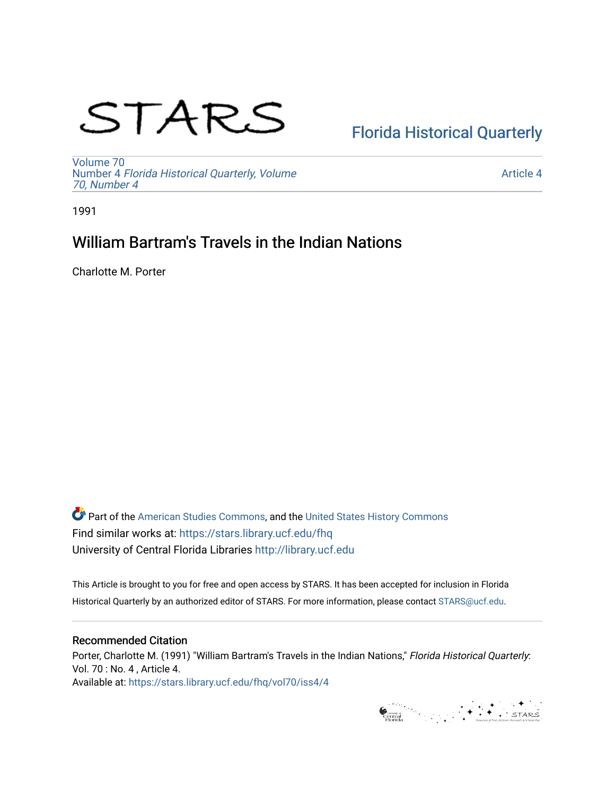# STARS

# [Florida Historical Quarterly](https://stars.library.ucf.edu/fhq)

[Volume 70](https://stars.library.ucf.edu/fhq/vol70) Number 4 [Florida Historical Quarterly, Volume](https://stars.library.ucf.edu/fhq/vol70/iss4)  [70, Number 4](https://stars.library.ucf.edu/fhq/vol70/iss4)

[Article 4](https://stars.library.ucf.edu/fhq/vol70/iss4/4) 

1991

# William Bartram's Travels in the Indian Nations

Charlotte M. Porter

**C** Part of the [American Studies Commons](http://network.bepress.com/hgg/discipline/439?utm_source=stars.library.ucf.edu%2Ffhq%2Fvol70%2Fiss4%2F4&utm_medium=PDF&utm_campaign=PDFCoverPages), and the United States History Commons Find similar works at: <https://stars.library.ucf.edu/fhq> University of Central Florida Libraries [http://library.ucf.edu](http://library.ucf.edu/) 

This Article is brought to you for free and open access by STARS. It has been accepted for inclusion in Florida Historical Quarterly by an authorized editor of STARS. For more information, please contact [STARS@ucf.edu.](mailto:STARS@ucf.edu)

## Recommended Citation

Porter, Charlotte M. (1991) "William Bartram's Travels in the Indian Nations," Florida Historical Quarterly: Vol. 70 : No. 4 , Article 4. Available at: [https://stars.library.ucf.edu/fhq/vol70/iss4/4](https://stars.library.ucf.edu/fhq/vol70/iss4/4?utm_source=stars.library.ucf.edu%2Ffhq%2Fvol70%2Fiss4%2F4&utm_medium=PDF&utm_campaign=PDFCoverPages) 

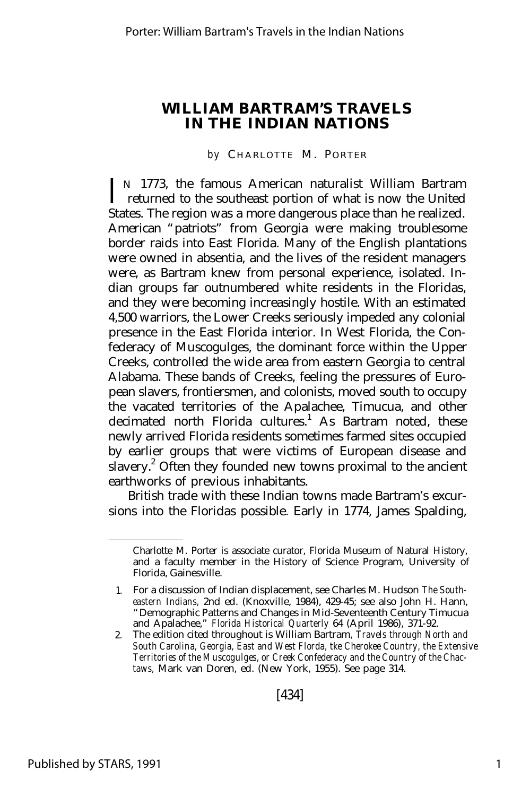## **WILLIAM BARTRAM'S TRAVELS IN THE INDIAN NATIONS**

#### *by* CHARLOTTE M. PORTER

IV 1773, the famous American naturalist William Bartram<br> **I** returned to the southeast portion of what is now the United returned to the southeast portion of what is now the United States. The region was a more dangerous place than he realized. American "patriots" from Georgia were making troublesome border raids into East Florida. Many of the English plantations were owned in absentia, and the lives of the resident managers were, as Bartram knew from personal experience, isolated. Indian groups far outnumbered white residents in the Floridas, and they were becoming increasingly hostile. With an estimated 4,500 warriors, the Lower Creeks seriously impeded any colonial presence in the East Florida interior. In West Florida, the Confederacy of Muscogulges, the dominant force within the Upper Creeks, controlled the wide area from eastern Georgia to central Alabama. These bands of Creeks, feeling the pressures of European slavers, frontiersmen, and colonists, moved south to occupy the vacated territories of the Apalachee, Timucua, and other decimated north Florida cultures.<sup>1</sup> As Bartram noted, these newly arrived Florida residents sometimes farmed sites occupied by earlier groups that were victims of European disease and slavery.<sup>2</sup> Often they founded new towns proximal to the ancient earthworks of previous inhabitants.

British trade with these Indian towns made Bartram's excursions into the Floridas possible. Early in 1774, James Spalding,

[434]

Charlotte M. Porter is associate curator, Florida Museum of Natural History, and a faculty member in the History of Science Program, University of Florida, Gainesville.

<sup>1.</sup> For a discussion of Indian displacement, see Charles M. Hudson *The Southeastern Indians,* 2nd ed. (Knoxville, 1984), 429-45; see also John H. Hann, "Demographic Patterns and Changes in Mid-Seventeenth Century Timucua and Apalachee," *Florida Historical Quarterly* 64 (April 1986), 371-92.

<sup>2.</sup> The edition cited throughout is William Bartram, *Travels through North and South Carolina, Georgia, East and West Florda, tke Cherokee Country, the Extensive Territories of the Muscogulges, or Creek Confederacy and the Country of the Chactaws,* Mark van Doren, ed. (New York, 1955). See page 314.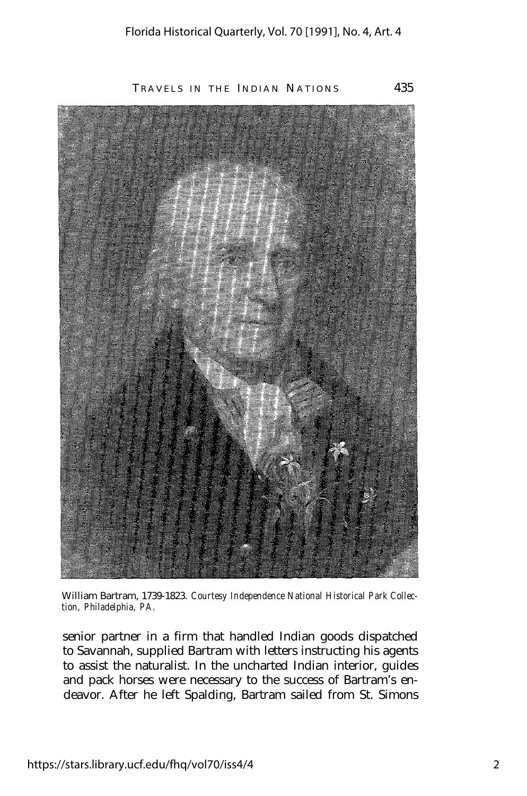

William Bartram, 1739-1823. *Courtesy Independence National Historical Park Collection, Philadelphia, PA.*

senior partner in a firm that handled Indian goods dispatched to Savannah, supplied Bartram with letters instructing his agents to assist the naturalist. In the uncharted Indian interior, guides and pack horses were necessary to the success of Bartram's endeavor. After he left Spalding, Bartram sailed from St. Simons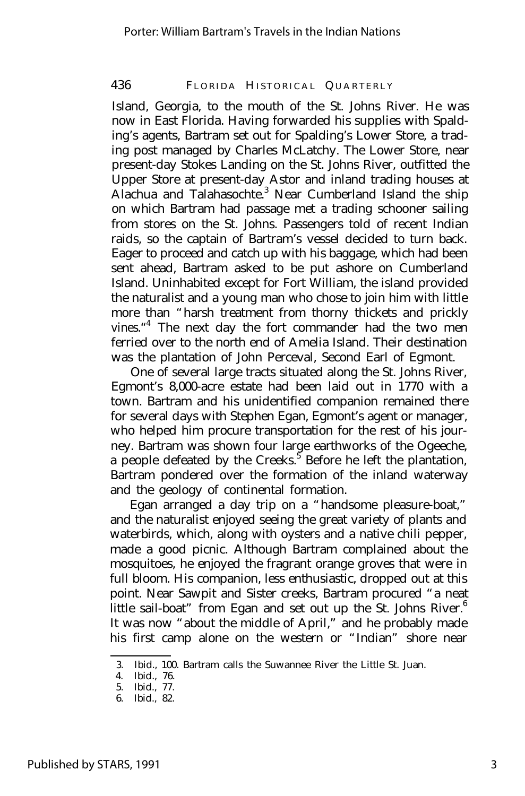Island, Georgia, to the mouth of the St. Johns River. He was now in East Florida. Having forwarded his supplies with Spalding's agents, Bartram set out for Spalding's Lower Store, a trading post managed by Charles McLatchy. The Lower Store, near present-day Stokes Landing on the St. Johns River, outfitted the Upper Store at present-day Astor and inland trading houses at Alachua and Talahasochte.<sup>3</sup> Near Cumberland Island the ship on which Bartram had passage met a trading schooner sailing from stores on the St. Johns. Passengers told of recent Indian raids, so the captain of Bartram's vessel decided to turn back. Eager to proceed and catch up with his baggage, which had been sent ahead, Bartram asked to be put ashore on Cumberland Island. Uninhabited except for Fort William, the island provided the naturalist and a young man who chose to join him with little more than "harsh treatment from thorny thickets and prickly vines."<sup>4</sup> The next day the fort commander had the two men ferried over to the north end of Amelia Island. Their destination was the plantation of John Perceval, Second Earl of Egmont.

One of several large tracts situated along the St. Johns River, Egmont's 8,000-acre estate had been laid out in 1770 with a town. Bartram and his unidentified companion remained there for several days with Stephen Egan, Egmont's agent or manager, who helped him procure transportation for the rest of his journey. Bartram was shown four large earthworks of the Ogeeche, a people defeated by the Creeks.<sup>5</sup> Before he left the plantation, Bartram pondered over the formation of the inland waterway and the geology of continental formation.

Egan arranged a day trip on a "handsome pleasure-boat," and the naturalist enjoyed seeing the great variety of plants and waterbirds, which, along with oysters and a native chili pepper, made a good picnic. Although Bartram complained about the mosquitoes, he enjoyed the fragrant orange groves that were in full bloom. His companion, less enthusiastic, dropped out at this point. Near Sawpit and Sister creeks, Bartram procured "a neat little sail-boat" from Egan and set out up the St. Johns River.<sup>6</sup> It was now "about the middle of April," and he probably made his first camp alone on the western or "Indian" shore near

<sup>3.</sup> Ibid., 100. Bartram calls the Suwannee River the Little St. Juan.

<sup>4.</sup> Ibid., 76.

<sup>5.</sup> Ibid., 77.

<sup>6.</sup> Ibid., 82.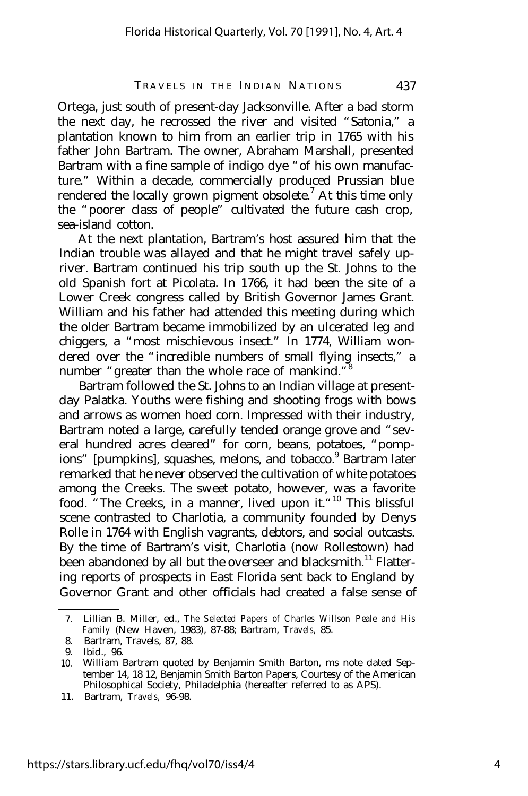Ortega, just south of present-day Jacksonville. After a bad storm the next day, he recrossed the river and visited "Satonia," a plantation known to him from an earlier trip in 1765 with his father John Bartram. The owner, Abraham Marshall, presented Bartram with a fine sample of indigo dye "of his own manufacture." Within a decade, commercially produced Prussian blue rendered the locally grown pigment obsolete.<sup>7</sup> At this time only the "poorer class of people" cultivated the future cash crop, sea-island cotton.

At the next plantation, Bartram's host assured him that the Indian trouble was allayed and that he might travel safely upriver. Bartram continued his trip south up the St. Johns to the old Spanish fort at Picolata. In 1766, it had been the site of a Lower Creek congress called by British Governor James Grant. William and his father had attended this meeting during which the older Bartram became immobilized by an ulcerated leg and chiggers, a "most mischievous insect." In 1774, William wondered over the "incredible numbers of small flying insects," a number "greater than the whole race of mankind."

Bartram followed the St. Johns to an Indian village at presentday Palatka. Youths were fishing and shooting frogs with bows and arrows as women hoed corn. Impressed with their industry, Bartram noted a large, carefully tended orange grove and "several hundred acres cleared" for corn, beans, potatoes, "pompions" [pumpkins], squashes, melons, and tobacco.<sup>9</sup> Bartram later remarked that he never observed the cultivation of white potatoes among the Creeks. The sweet potato, however, was a favorite food. "The Creeks, in a manner, lived upon it."<sup>10</sup> This blissful scene contrasted to Charlotia, a community founded by Denys Rolle in 1764 with English vagrants, debtors, and social outcasts. By the time of Bartram's visit, Charlotia (now Rollestown) had been abandoned by all but the overseer and blacksmith.<sup>11</sup> Flattering reports of prospects in East Florida sent back to England by Governor Grant and other officials had created a false sense of

<sup>7.</sup> Lillian B. Miller, ed., *The Selected Papers of Charles Willson Peale and His Family* (New Haven, 1983), 87-88; Bartram, *Travels,* 85.

<sup>8.</sup> Bartram, Travels, 87, 88.

<sup>9.</sup> Ibid., 96.

<sup>10.</sup> William Bartram quoted by Benjamin Smith Barton, ms note dated September 14, 18 12, Benjamin Smith Barton Papers, Courtesy of the American Philosophical Society, Philadelphia (hereafter referred to as APS).

<sup>11.</sup> Bartram, *Travels,* 96-98.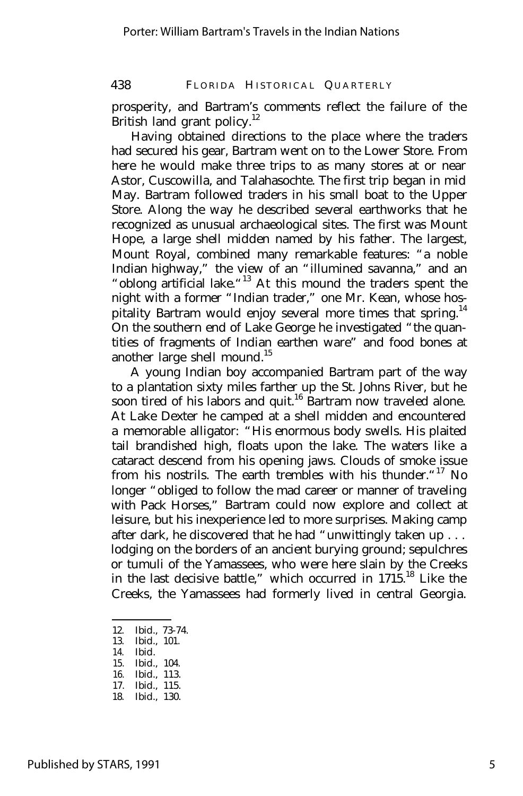prosperity, and Bartram's comments reflect the failure of the British land grant policy.<sup>12</sup>

Having obtained directions to the place where the traders had secured his gear, Bartram went on to the Lower Store. From here he would make three trips to as many stores at or near Astor, Cuscowilla, and Talahasochte. The first trip began in mid May. Bartram followed traders in his small boat to the Upper Store. Along the way he described several earthworks that he recognized as unusual archaeological sites. The first was Mount Hope, a large shell midden named by his father. The largest, Mount Royal, combined many remarkable features: "a noble Indian highway," the view of an "illumined savanna," and an "oblong artificial lake."<sup>13</sup> At this mound the traders spent the night with a former "Indian trader," one Mr. Kean, whose hospitality Bartram would enjoy several more times that spring.<sup>14</sup> On the southern end of Lake George he investigated "the quantities of fragments of Indian earthen ware" and food bones at another large shell mound.<sup>15</sup>

A young Indian boy accompanied Bartram part of the way to a plantation sixty miles farther up the St. Johns River, but he soon tired of his labors and quit.<sup>16</sup> Bartram now traveled alone. At Lake Dexter he camped at a shell midden and encountered a memorable alligator: "His enormous body swells. His plaited tail brandished high, floats upon the lake. The waters like a cataract descend from his opening jaws. Clouds of smoke issue from his nostrils. The earth trembles with his thunder."<sup>17</sup> No longer "obliged to follow the mad career or manner of traveling with Pack Horses," Bartram could now explore and collect at leisure, but his inexperience led to more surprises. Making camp after dark, he discovered that he had "unwittingly taken up . . . lodging on the borders of an ancient burying ground; sepulchres or tumuli of the Yamassees, who were here slain by the Creeks in the last decisive battle," which occurred in  $1715$ .<sup>18</sup> Like the Creeks, the Yamassees had formerly lived in central Georgia.

- 12. Ibid., 73-74.
- 13. Ibid., 101.
- 14. Ibid.
- 15. Ibid., 104.
- 16. Ibid., 113.
- 17. Ibid., 115.
- 18. Ibid., 130.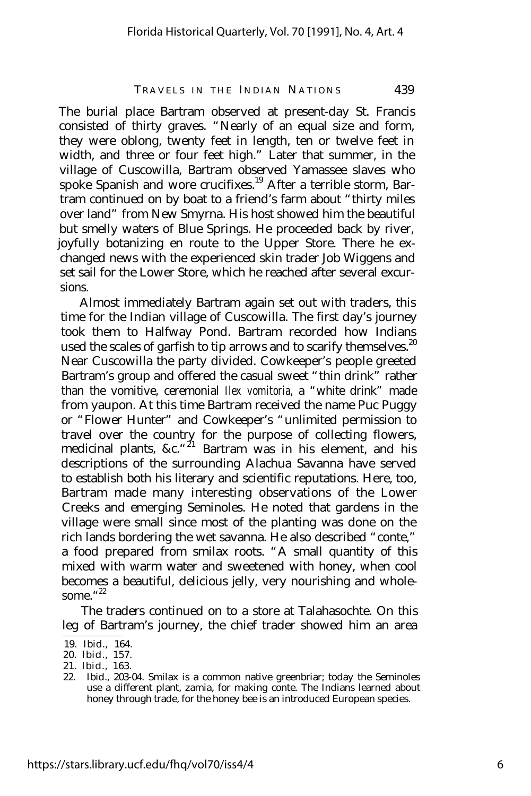The burial place Bartram observed at present-day St. Francis consisted of thirty graves. "Nearly of an equal size and form, they were oblong, twenty feet in length, ten or twelve feet in width, and three or four feet high." Later that summer, in the village of Cuscowilla, Bartram observed Yamassee slaves who spoke Spanish and wore crucifixes.<sup>19</sup> After a terrible storm, Bartram continued on by boat to a friend's farm about "thirty miles over land" from New Smyrna. His host showed him the beautiful but smelly waters of Blue Springs. He proceeded back by river, joyfully botanizing en route to the Upper Store. There he exchanged news with the experienced skin trader Job Wiggens and set sail for the Lower Store, which he reached after several excursions.

Almost immediately Bartram again set out with traders, this time for the Indian village of Cuscowilla. The first day's journey took them to Halfway Pond. Bartram recorded how Indians used the scales of garfish to tip arrows and to scarify themselves.<sup>20</sup> Near Cuscowilla the party divided. Cowkeeper's people greeted Bartram's group and offered the casual sweet "thin drink" rather than the vomitive, ceremonial *Ilex vomitoria,* a "white drink" made from yaupon. At this time Bartram received the name Puc Puggy or "Flower Hunter" and Cowkeeper's "unlimited permission to travel over the country for the purpose of collecting flowers, medicinal plants, &c.<sup>"21</sup> Bartram was in his element, and his descriptions of the surrounding Alachua Savanna have served to establish both his literary and scientific reputations. Here, too, Bartram made many interesting observations of the Lower Creeks and emerging Seminoles. He noted that gardens in the village were small since most of the planting was done on the rich lands bordering the wet savanna. He also described "conte," a food prepared from smilax roots. "A small quantity of this mixed with warm water and sweetened with honey, when cool becomes a beautiful, delicious jelly, very nourishing and wholesome." 22

The traders continued on to a store at Talahasochte. On this leg of Bartram's journey, the chief trader showed him an area

<sup>19.</sup> Ibid., 164.

<sup>20.</sup> Ibid., 157.

<sup>21.</sup> Ibid., 163.

<sup>22.</sup> Ibid., 203-04. Smilax is a common native greenbriar; today the Seminoles use a different plant, zamia, for making conte. The Indians learned about honey through trade, for the honey bee is an introduced European species.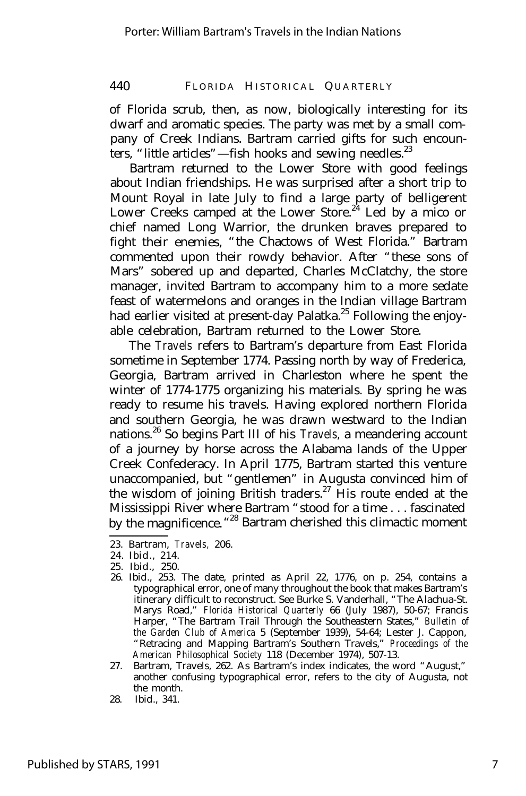of Florida scrub, then, as now, biologically interesting for its dwarf and aromatic species. The party was met by a small company of Creek Indians. Bartram carried gifts for such encounters, "little articles" – fish hooks and sewing needles. $23$ 

Bartram returned to the Lower Store with good feelings about Indian friendships. He was surprised after a short trip to Mount Royal in late July to find a large party of belligerent Lower Creeks camped at the Lower Store.<sup>24</sup> Led by a mico or chief named Long Warrior, the drunken braves prepared to fight their enemies, "the Chactows of West Florida." Bartram commented upon their rowdy behavior. After "these sons of Mars" sobered up and departed, Charles McClatchy, the store manager, invited Bartram to accompany him to a more sedate feast of watermelons and oranges in the Indian village Bartram had earlier visited at present-day Palatka.<sup>25</sup> Following the enjoyable celebration, Bartram returned to the Lower Store.

The *Travels* refers to Bartram's departure from East Florida sometime in September 1774. Passing north by way of Frederica, Georgia, Bartram arrived in Charleston where he spent the winter of 1774-1775 organizing his materials. By spring he was ready to resume his travels. Having explored northern Florida and southern Georgia, he was drawn westward to the Indian nations.<sup>26</sup> So begins Part III of his *Travels,* a meandering account of a journey by horse across the Alabama lands of the Upper Creek Confederacy. In April 1775, Bartram started this venture unaccompanied, but "gentlemen" in Augusta convinced him of the wisdom of joining British traders.<sup>27</sup> His route ended at the Mississippi River where Bartram "stood for a time . . . fascinated by the magnificence. "<sup>28</sup> Bartram cherished this climactic moment

<sup>23.</sup> Bartram, *Travels,* 206.

<sup>24.</sup> Ibid., 214.

<sup>25.</sup> Ibid., 250.

<sup>26.</sup> Ibid., 253. The date, printed as April 22, 1776, on p. 254, contains a typographical error, one of many throughout the book that makes Bartram's itinerary difficult to reconstruct. See Burke S. Vanderhall, "The Alachua-St. Marys Road," *Florida Historical Quarterly* 66 (July 1987), 50-67; Francis Harper, "The Bartram Trail Through the Southeastern States," *Bulletin of the Garden Club of America* 5 (September 1939), 54-64; Lester J. Cappon, "Retracing and Mapping Bartram's Southern Travels," *Proceedings of the American Philosophical Society* 118 (December 1974), 507-13.

<sup>27.</sup> Bartram, Travels, 262. As Bartram's index indicates, the word "August," another confusing typographical error, refers to the city of Augusta, not the month.

<sup>28.</sup> Ibid., 341.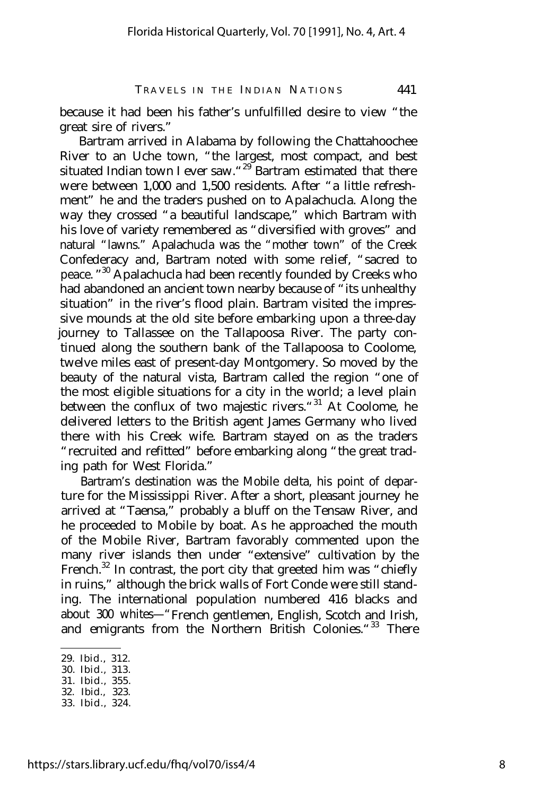because it had been his father's unfulfilled desire to view "the great sire of rivers."

Bartram arrived in Alabama by following the Chattahoochee River to an Uche town, "the largest, most compact, and best situated Indian town I ever saw. "<sup>29</sup> Bartram estimated that there were between 1,000 and 1,500 residents. After "a little refreshment" he and the traders pushed on to Apalachucla. Along the way they crossed "a beautiful landscape," which Bartram with his love of variety remembered as "diversified with groves" and natural "lawns." Apalachucla was the "mother town" of the Creek Confederacy and, Bartram noted with some relief, "sacred to peace. "<sup>30</sup> Apalachucla had been recently founded by Creeks who had abandoned an ancient town nearby because of "its unhealthy situation" in the river's flood plain. Bartram visited the impressive mounds at the old site before embarking upon a three-day journey to Tallassee on the Tallapoosa River. The party continued along the southern bank of the Tallapoosa to Coolome, twelve miles east of present-day Montgomery. So moved by the beauty of the natural vista, Bartram called the region "one of the most eligible situations for a city in the world; a level plain between the conflux of two majestic rivers."<sup>31</sup> At Coolome, he delivered letters to the British agent James Germany who lived there with his Creek wife. Bartram stayed on as the traders "recruited and refitted" before embarking along "the great trading path for West Florida."

Bartram's destination was the Mobile delta, his point of departure for the Mississippi River. After a short, pleasant journey he arrived at "Taensa," probably a bluff on the Tensaw River, and he proceeded to Mobile by boat. As he approached the mouth of the Mobile River, Bartram favorably commented upon the many river islands then under "extensive" cultivation by the French.<sup>32</sup> In contrast, the port city that greeted him was "chiefly in ruins," although the brick walls of Fort Conde were still standing. The international population numbered 416 blacks and about 300 whites— "French gentlemen, English, Scotch and Irish, and emigrants from the Northern British Colonies.<sup>"33</sup> There

<sup>29.</sup> Ibid., 312.

<sup>30.</sup> Ibid., 313.

<sup>31.</sup> Ibid., 355.

<sup>32.</sup> Ibid., 323.

<sup>33.</sup> Ibid., 324.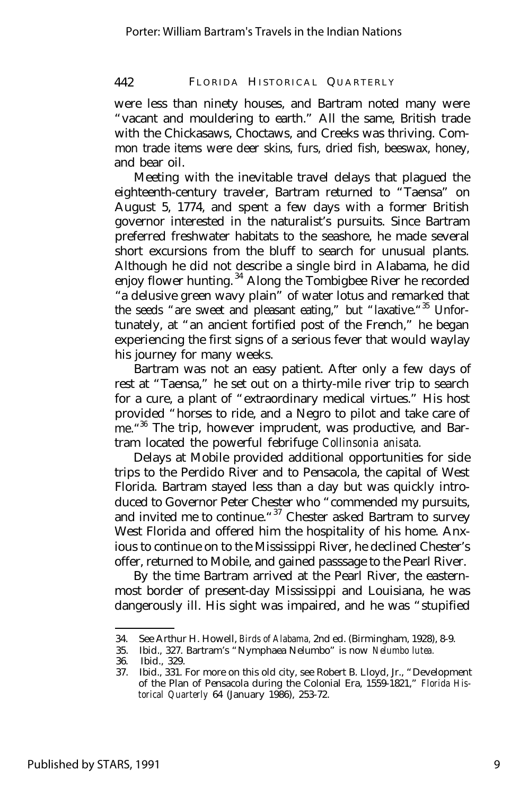were less than ninety houses, and Bartram noted many were "vacant and mouldering to earth." All the same, British trade with the Chickasaws, Choctaws, and Creeks was thriving. Common trade items were deer skins, furs, dried fish, beeswax, honey, and bear oil.

Meeting with the inevitable travel delays that plagued the eighteenth-century traveler, Bartram returned to "Taensa" on August 5, 1774, and spent a few days with a former British governor interested in the naturalist's pursuits. Since Bartram preferred freshwater habitats to the seashore, he made several short excursions from the bluff to search for unusual plants. Although he did not describe a single bird in Alabama, he did enjoy flower hunting.<sup>34</sup> Along the Tombigbee River he recorded "a delusive green wavy plain" of water lotus and remarked that the seeds "are sweet and pleasant eating," but "laxative."<sup>35</sup> Unfortunately, at "an ancient fortified post of the French," he began experiencing the first signs of a serious fever that would waylay his journey for many weeks.

Bartram was not an easy patient. After only a few days of rest at "Taensa," he set out on a thirty-mile river trip to search for a cure, a plant of "extraordinary medical virtues." His host provided "horses to ride, and a Negro to pilot and take care of me." <sup>36</sup> The trip, however imprudent, was productive, and Bartram located the powerful febrifuge *Collinsonia anisata.*

Delays at Mobile provided additional opportunities for side trips to the Perdido River and to Pensacola, the capital of West Florida. Bartram stayed less than a day but was quickly introduced to Governor Peter Chester who "commended my pursuits, and invited me to continue."<sup>37</sup> Chester asked Bartram to survey West Florida and offered him the hospitality of his home. Anxious to continue on to the Mississippi River, he declined Chester's offer, returned to Mobile, and gained passsage to the Pearl River.

By the time Bartram arrived at the Pearl River, the easternmost border of present-day Mississippi and Louisiana, he was dangerously ill. His sight was impaired, and he was "stupified

<sup>34.</sup> See Arthur H. Howell, *Birds of Alabama,* 2nd ed. (Birmingham, 1928), 8-9.

<sup>35.</sup> Ibid., 327. Bartram's "Nymphaea Nelumbo" is now *Nelumbo lutea.*

<sup>36.</sup> Ibid., 329.

<sup>37.</sup> Ibid., 331. For more on this old city, see Robert B. Lloyd, Jr., "Development of the Plan of Pensacola during the Colonial Era, 1559-1821," *Florida Historical Quarterly* 64 (January 1986), 253-72.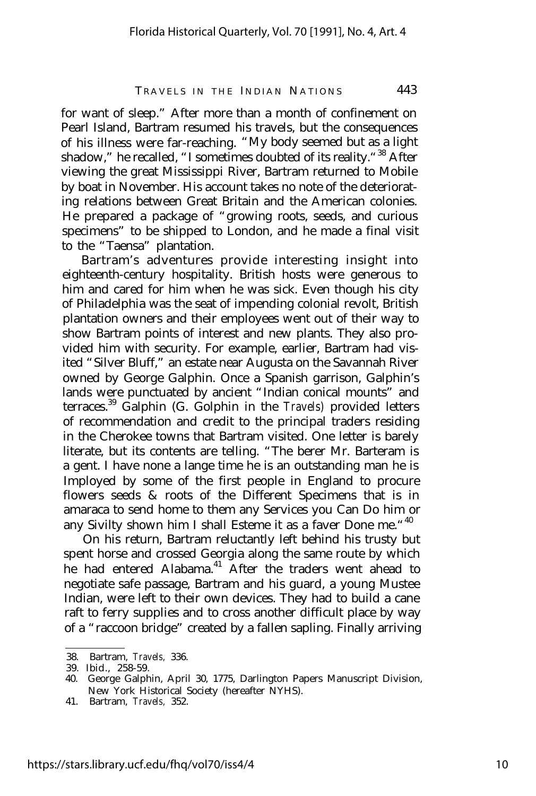for want of sleep." After more than a month of confinement on Pearl Island, Bartram resumed his travels, but the consequences of his illness were far-reaching. "My body seemed but as a light shadow," he recalled, "I sometimes doubted of its reality." 38 After viewing the great Mississippi River, Bartram returned to Mobile by boat in November. His account takes no note of the deteriorating relations between Great Britain and the American colonies. He prepared a package of "growing roots, seeds, and curious specimens" to be shipped to London, and he made a final visit to the "Taensa" plantation.

Bartram's adventures provide interesting insight into eighteenth-century hospitality. British hosts were generous to him and cared for him when he was sick. Even though his city of Philadelphia was the seat of impending colonial revolt, British plantation owners and their employees went out of their way to show Bartram points of interest and new plants. They also provided him with security. For example, earlier, Bartram had visited "Silver Bluff," an estate near Augusta on the Savannah River owned by George Galphin. Once a Spanish garrison, Galphin's lands were punctuated by ancient "Indian conical mounts" and terraces.<sup>39</sup> Galphin (G. Golphin in the *Travels)* provided letters of recommendation and credit to the principal traders residing in the Cherokee towns that Bartram visited. One letter is barely literate, but its contents are telling. "The berer Mr. Barteram is a gent. I have none a lange time he is an outstanding man he is Imployed by some of the first people in England to procure flowers seeds & roots of the Different Specimens that is in amaraca to send home to them any Services you Can Do him or any Sivilty shown him I shall Esteme it as a faver Done me."<sup>40</sup>

On his return, Bartram reluctantly left behind his trusty but spent horse and crossed Georgia along the same route by which he had entered Alabama.<sup>41</sup> After the traders went ahead to negotiate safe passage, Bartram and his guard, a young Mustee Indian, were left to their own devices. They had to build a cane raft to ferry supplies and to cross another difficult place by way of a "raccoon bridge" created by a fallen sapling. Finally arriving

<sup>38.</sup> Bartram, *Travels,* 336.

<sup>39.</sup> Ibid., 258-59.

<sup>40.</sup> George Galphin, April 30, 1775, Darlington Papers Manuscript Division, New York Historical Society (hereafter NYHS).

<sup>41.</sup> Bartram, *Travels,* 352.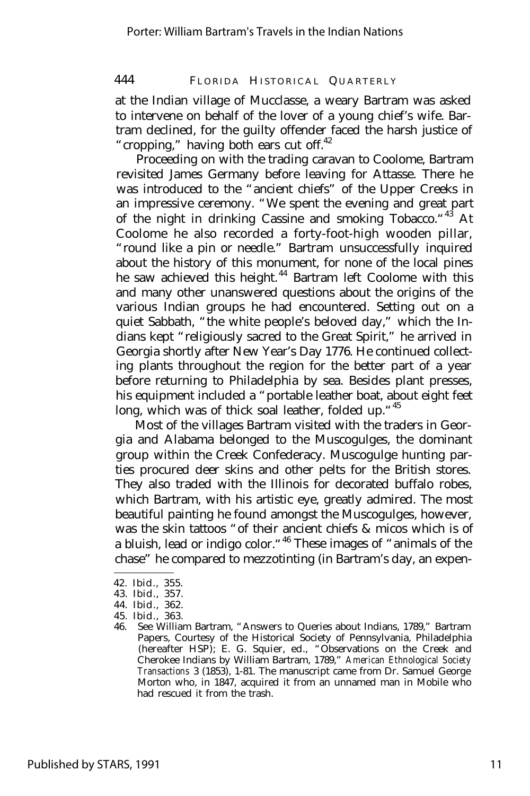at the Indian village of Mucclasse, a weary Bartram was asked to intervene on behalf of the lover of a young chief's wife. Bartram declined, for the guilty offender faced the harsh justice of "cropping," having both ears cut off.<sup>42</sup>

Proceeding on with the trading caravan to Coolome, Bartram revisited James Germany before leaving for Attasse. There he was introduced to the "ancient chiefs" of the Upper Creeks in an impressive ceremony. "We spent the evening and great part of the night in drinking Cassine and smoking Tobacco."<sup>43</sup> At Coolome he also recorded a forty-foot-high wooden pillar, "round like a pin or needle." Bartram unsuccessfully inquired about the history of this monument, for none of the local pines he saw achieved this height.<sup>44</sup> Bartram left Coolome with this and many other unanswered questions about the origins of the various Indian groups he had encountered. Setting out on a quiet Sabbath, "the white people's beloved day," which the Indians kept "religiously sacred to the Great Spirit," he arrived in Georgia shortly after New Year's Day 1776. He continued collecting plants throughout the region for the better part of a year before returning to Philadelphia by sea. Besides plant presses, his equipment included a "portable leather boat, about eight feet long, which was of thick soal leather, folded up."<sup>45</sup>

Most of the villages Bartram visited with the traders in Georgia and Alabama belonged to the Muscogulges, the dominant group within the Creek Confederacy. Muscogulge hunting parties procured deer skins and other pelts for the British stores. They also traded with the Illinois for decorated buffalo robes, which Bartram, with his artistic eye, greatly admired. The most beautiful painting he found amongst the Muscogulges, however, was the skin tattoos "of their ancient chiefs & micos which is of a bluish, lead or indigo color. "<sup>46</sup> These images of "animals of the chase" he compared to mezzotinting (in Bartram's day, an expen-

44. Ibid., 362.

<sup>42.</sup> Ibid., 355.

<sup>43.</sup> Ibid., 357.

<sup>45.</sup> Ibid., 363.

<sup>46.</sup> See William Bartram, "Answers to Queries about Indians, 1789," Bartram Papers, Courtesy of the Historical Society of Pennsylvania, Philadelphia (hereafter HSP); E. G. Squier, ed., "Observations on the Creek and Cherokee Indians by William Bartram, 1789," *American Ethnological Society Transactions* 3 (1853), 1-81. The manuscript came from Dr. Samuel George Morton who, in 1847, acquired it from an unnamed man in Mobile who had rescued it from the trash.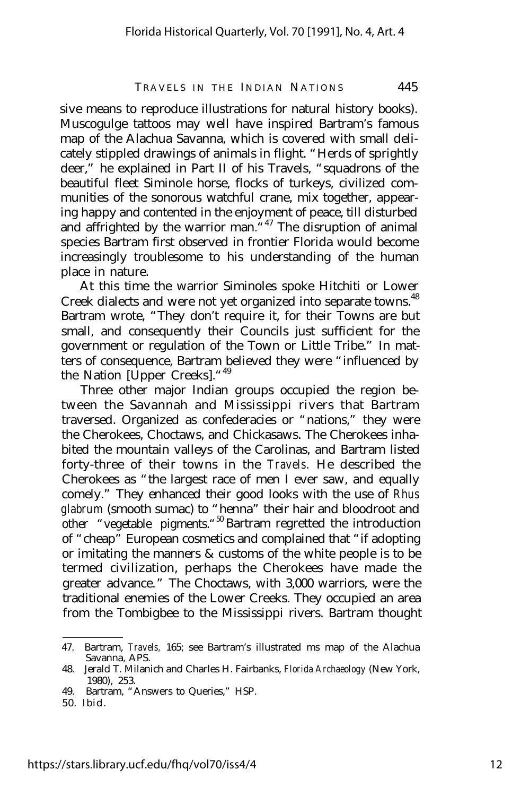sive means to reproduce illustrations for natural history books). Muscogulge tattoos may well have inspired Bartram's famous map of the Alachua Savanna, which is covered with small delicately stippled drawings of animals in flight. "Herds of sprightly deer," he explained in Part II of his Travels, "squadrons of the beautiful fleet Siminole horse, flocks of turkeys, civilized communities of the sonorous watchful crane, mix together, appearing happy and contented in the enjoyment of peace, till disturbed and affrighted by the warrior man.<sup>"47</sup> The disruption of animal species Bartram first observed in frontier Florida would become increasingly troublesome to his understanding of the human place in nature.

At this time the warrior Siminoles spoke Hitchiti or Lower Creek dialects and were not yet organized into separate towns.<sup>48</sup> Bartram wrote, "They don't require it, for their Towns are but small, and consequently their Councils just sufficient for the government or regulation of the Town or Little Tribe." In matters of consequence, Bartram believed they were "influenced by the Nation [Upper Creeks].  $49$ 

Three other major Indian groups occupied the region between the Savannah and Mississippi rivers that Bartram traversed. Organized as confederacies or "nations," they were the Cherokees, Choctaws, and Chickasaws. The Cherokees inhabited the mountain valleys of the Carolinas, and Bartram listed forty-three of their towns in the *Travels.* He described the Cherokees as "the largest race of men I ever saw, and equally comely." They enhanced their good looks with the use of *Rhus glabrum* (smooth sumac) to "henna" their hair and bloodroot and other "vegetable pigments."<sup>50</sup> Bartram regretted the introduction of "cheap" European cosmetics and complained that "if adopting or imitating the manners & customs of the white people is to be termed civilization, perhaps the Cherokees have made the greater advance." The Choctaws, with 3,000 warriors, were the traditional enemies of the Lower Creeks. They occupied an area from the Tombigbee to the Mississippi rivers. Bartram thought

<sup>47.</sup> Bartram, *Travels,* 165; see Bartram's illustrated ms map of the Alachua Savanna, APS.

<sup>48.</sup> Jerald T. Milanich and Charles H. Fairbanks, *Florida Archaeology* (New York, 1980), 253.

<sup>49.</sup> Bartram, "Answers to Queries," HSP.

<sup>50.</sup> Ibid.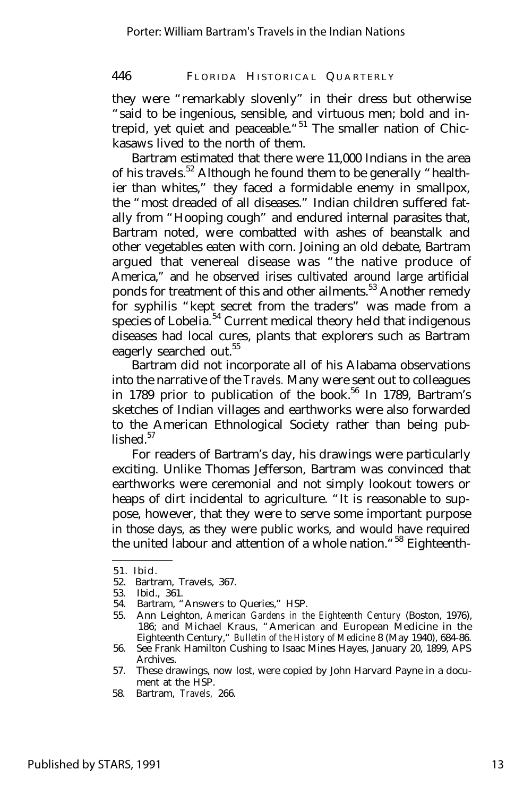they were "remarkably slovenly" in their dress but otherwise "said to be ingenious, sensible, and virtuous men; bold and intrepid, yet quiet and peaceable."<sup>51</sup> The smaller nation of Chickasaws lived to the north of them.

Bartram estimated that there were 11,000 Indians in the area of his travels.<sup>52</sup> Although he found them to be generally "healthier than whites," they faced a formidable enemy in smallpox, the "most dreaded of all diseases." Indian children suffered fatally from "Hooping cough" and endured internal parasites that, Bartram noted, were combatted with ashes of beanstalk and other vegetables eaten with corn. Joining an old debate, Bartram argued that venereal disease was "the native produce of America," and he observed irises cultivated around large artificial ponds for treatment of this and other ailments.<sup>53</sup> Another remedy for syphilis "kept secret from the traders" was made from a species of Lobelia.<sup>54</sup> Current medical theory held that indigenous diseases had local cures, plants that explorers such as Bartram eagerly searched out.<sup>55</sup>

Bartram did not incorporate all of his Alabama observations into the narrative of the *Travels.* Many were sent out to colleagues in 1789 prior to publication of the book.<sup>56</sup> In 1789, Bartram's sketches of Indian villages and earthworks were also forwarded to the American Ethnological Society rather than being published $157$ 

For readers of Bartram's day, his drawings were particularly exciting. Unlike Thomas Jefferson, Bartram was convinced that earthworks were ceremonial and not simply lookout towers or heaps of dirt incidental to agriculture. "It is reasonable to suppose, however, that they were to serve some important purpose in those days, as they were public works, and would have required the united labour and attention of a whole nation."<sup>58</sup> Eighteenth-

<sup>51.</sup> Ibid.

<sup>52.</sup> Bartram, Travels, 367.

<sup>53.</sup> Ibid., 361.

<sup>54.</sup> Bartram, "Answers to Queries," HSP.

<sup>55.</sup> Ann Leighton, *American Gardens in the Eighteenth Century* (Boston, 1976), 186; and Michael Kraus, "American and European Medicine in the Eighteenth Century," *Bulletin of the History of Medicine* 8 (May 1940), 684-86.

<sup>56.</sup> See Frank Hamilton Cushing to Isaac Mines Hayes, January 20, 1899, APS Archives.

<sup>57.</sup> These drawings, now lost, were copied by John Harvard Payne in a document at the HSP.

<sup>58.</sup> Bartram, *Travels,* 266.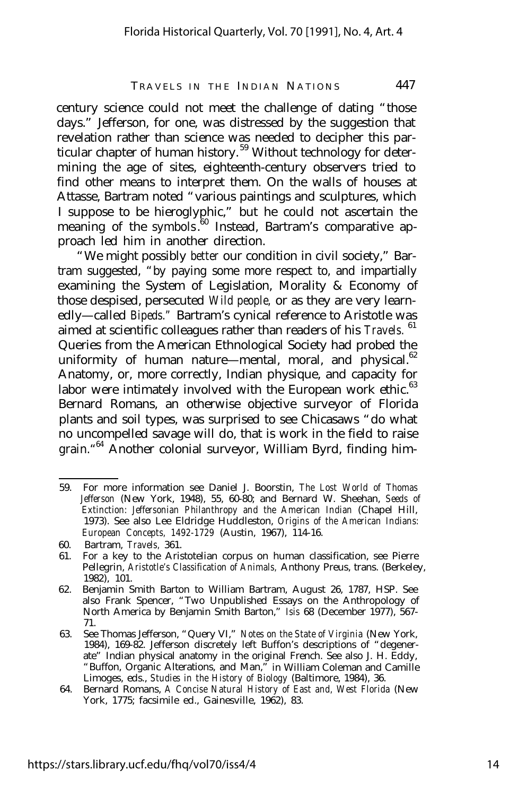century science could not meet the challenge of dating "those days." Jefferson, for one, was distressed by the suggestion that revelation rather than science was needed to decipher this particular chapter of human history.<sup>59</sup> Without technology for determining the age of sites, eighteenth-century observers tried to find other means to interpret them. On the walls of houses at Attasse, Bartram noted "various paintings and sculptures, which I suppose to be hieroglyphic," but he could not ascertain the meaning of the symbols.<sup>80</sup> Instead, Bartram's comparative approach led him in another direction.

"We might possibly *better* our condition in civil society," Bartram suggested, "by paying some more respect to, and impartially examining the System of Legislation, Morality & Economy of those despised, persecuted *Wild people,* or as they are very learnedly— called *Bipeds."* Bartram's cynical reference to Aristotle was aimed at scientific colleagues rather than readers of his *Travels.* <sup>61</sup> Queries from the American Ethnological Society had probed the uniformity of human nature– mental, moral, and physical.<sup>62</sup> Anatomy, or, more correctly, Indian physique, and capacity for labor were intimately involved with the European work ethic.<sup>63</sup> Bernard Romans, an otherwise objective surveyor of Florida plants and soil types, was surprised to see Chicasaws "do what no uncompelled savage will do, that is work in the field to raise grain." <sup>64</sup> Another colonial surveyor, William Byrd, finding him-

<sup>59.</sup> For more information see Daniel J. Boorstin, *The Lost World of Thomas Jefferson* (New York, 1948), 55, 60-80; and Bernard W. Sheehan, *Seeds of Extinction: Jeffersonian Philanthropy and the American Indian* (Chapel Hill, 1973). See also Lee Eldridge Huddleston, *Origins of the American Indians: European Concepts, 1492-1729* (Austin, 1967), 114-16.

<sup>60.</sup> Bartram, *Travels,* 361.

<sup>61.</sup> For a key to the Aristotelian corpus on human classification, see Pierre Pellegrin, *Aristotle's Classification of Animals,* Anthony Preus, trans. (Berkeley, 1982), 101.

<sup>62.</sup> Benjamin Smith Barton to William Bartram, August 26, 1787, HSP. See also Frank Spencer, "Two Unpublished Essays on the Anthropology of North America by Benjamin Smith Barton," *Isis* 68 (December 1977), 567- 71.

<sup>63.</sup> See Thomas Jefferson, "Query VI," *Notes on the State of Virginia* (New York, 1984), 169-82. Jefferson discretely left Buffon's descriptions of "degenerate" Indian physical anatomy in the original French. See also J. H. Eddy, "Buffon, Organic Alterations, and Man," in William Coleman and Camille Limoges, eds., *Studies in the History of Biology* (Baltimore, 1984), 36.

<sup>64.</sup> Bernard Romans, *A Concise Natural History of East and, West Florida* (New York, 1775; facsimile ed., Gainesville, 1962), 83.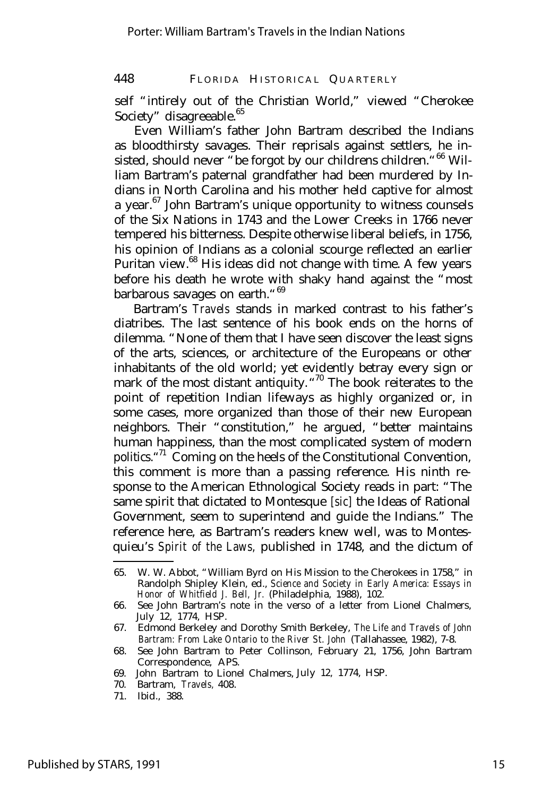self "intirely out of the Christian World," viewed "Cherokee Society" disagreeable.<sup>65</sup>

Even William's father John Bartram described the Indians as bloodthirsty savages. Their reprisals against settlers, he insisted, should never "be forgot by our childrens children. "66 William Bartram's paternal grandfather had been murdered by Indians in North Carolina and his mother held captive for almost a year. $67$  John Bartram's unique opportunity to witness counsels of the Six Nations in 1743 and the Lower Creeks in 1766 never tempered his bitterness. Despite otherwise liberal beliefs, in 1756, his opinion of Indians as a colonial scourge reflected an earlier Puritan view.<sup>68</sup> His ideas did not change with time. A few years before his death he wrote with shaky hand against the "most barbarous savages on earth."<sup>69</sup>

Bartram's *Travels* stands in marked contrast to his father's diatribes. The last sentence of his book ends on the horns of dilemma. "None of them that I have seen discover the least signs of the arts, sciences, or architecture of the Europeans or other inhabitants of the old world; yet evidently betray every sign or mark of the most distant antiquity. "<sup>70</sup> The book reiterates to the point of repetition Indian lifeways as highly organized or, in some cases, more organized than those of their new European neighbors. Their "constitution," he argued, "better maintains human happiness, than the most complicated system of modern politics.<sup>"71</sup> Coming on the heels of the Constitutional Convention, this comment is more than a passing reference. His ninth response to the American Ethnological Society reads in part: "The same spirit that dictated to Montesque *[sic]* the Ideas of Rational Government, seem to superintend and guide the Indians." The reference here, as Bartram's readers knew well, was to Montesquieu's *Spirit of the Laws,* published in 1748, and the dictum of

<sup>65.</sup> W. W. Abbot, "William Byrd on His Mission to the Cherokees in 1758," in Randolph Shipley Klein, ed., *Science and Society in Early America: Essays in Honor of Whitfield J. Bell, Jr.* (Philadelphia, 1988), 102.

<sup>66.</sup> See John Bartram's note in the verso of a letter from Lionel Chalmers, July 12, 1774, HSP.

<sup>67.</sup> Edmond Berkeley and Dorothy Smith Berkeley, *The Life and Travels of John Bartram: From Lake Ontario to the River St. John* (Tallahassee, 1982), 7-8.

<sup>68.</sup> See John Bartram to Peter Collinson, February 21, 1756, John Bartram Correspondence, APS.

<sup>69.</sup> John Bartram to Lionel Chalmers, July 12, 1774, HSP.

<sup>70.</sup> Bartram, *Travels,* 408.

<sup>71.</sup> Ibid., 388.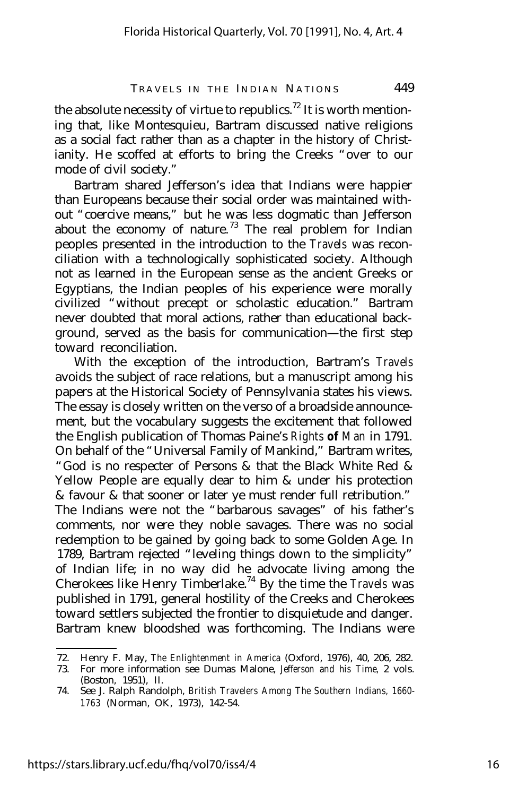the absolute necessity of virtue to republics.<sup>72</sup> It is worth mentioning that, like Montesquieu, Bartram discussed native religions as a social fact rather than as a chapter in the history of Christianity. He scoffed at efforts to bring the Creeks "over to our mode of civil society."

Bartram shared Jefferson's idea that Indians were happier than Europeans because their social order was maintained without "coercive means," but he was less dogmatic than Jefferson about the economy of nature.<sup>73</sup> The real problem for Indian peoples presented in the introduction to the *Travels* was reconciliation with a technologically sophisticated society. Although not as learned in the European sense as the ancient Greeks or Egyptians, the Indian peoples of his experience were morally civilized "without precept or scholastic education." Bartram never doubted that moral actions, rather than educational background, served as the basis for communication— the first step toward reconciliation.

With the exception of the introduction, Bartram's *Travels* avoids the subject of race relations, but a manuscript among his papers at the Historical Society of Pennsylvania states his views. The essay is closely written on the verso of a broadside announcement, but the vocabulary suggests the excitement that followed the English publication of Thomas Paine's *Rights of Man* in 1791. On behalf of the "Universal Family of Mankind," Bartram writes, "God is no respecter of Persons & that the Black White Red & Yellow People are equally dear to him & under his protection & favour & that sooner or later ye must render full retribution." The Indians were not the "barbarous savages" of his father's comments, nor were they noble savages. There was no social redemption to be gained by going back to some Golden Age. In 1789, Bartram rejected "leveling things down to the simplicity" of Indian life; in no way did he advocate living among the Cherokees like Henry Timberlake.<sup>74</sup> By the time the *Travels* was published in 1791, general hostility of the Creeks and Cherokees toward settlers subjected the frontier to disquietude and danger. Bartram knew bloodshed was forthcoming. The Indians were

<sup>72.</sup> Henry F. May, *The Enlightenment in America* (Oxford, 1976), 40, 206, 282.

<sup>73.</sup> For more information see Dumas Malone, *Jefferson and his Time,* 2 vols. (Boston, 1951), II.

<sup>74.</sup> See J. Ralph Randolph, *British Travelers Among The Southern Indians, 1660- 1763* (Norman, OK, 1973), 142-54.